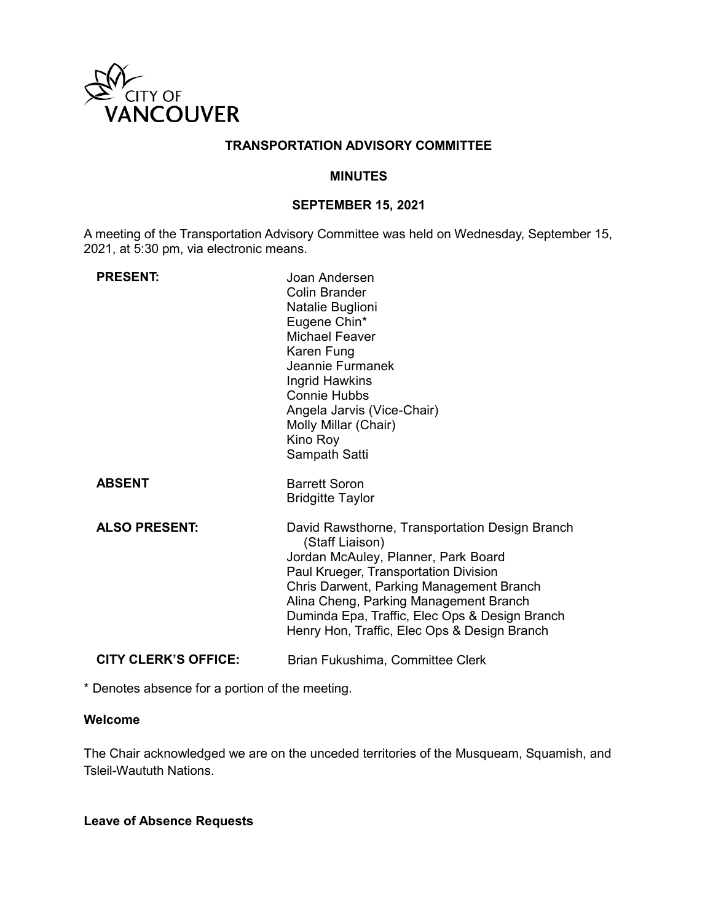

### **TRANSPORTATION ADVISORY COMMITTEE**

#### **MINUTES**

### **SEPTEMBER 15, 2021**

A meeting of the Transportation Advisory Committee was held on Wednesday, September 15, 2021, at 5:30 pm, via electronic means.

| <b>PRESENT:</b>             | Joan Andersen<br>Colin Brander<br>Natalie Buglioni<br>Eugene Chin*<br>Michael Feaver<br>Karen Fung<br>Jeannie Furmanek<br>Ingrid Hawkins<br><b>Connie Hubbs</b><br>Angela Jarvis (Vice-Chair)<br>Molly Millar (Chair)<br>Kino Roy<br>Sampath Satti                                                                                        |
|-----------------------------|-------------------------------------------------------------------------------------------------------------------------------------------------------------------------------------------------------------------------------------------------------------------------------------------------------------------------------------------|
| <b>ABSENT</b>               | <b>Barrett Soron</b><br><b>Bridgitte Taylor</b>                                                                                                                                                                                                                                                                                           |
| <b>ALSO PRESENT:</b>        | David Rawsthorne, Transportation Design Branch<br>(Staff Liaison)<br>Jordan McAuley, Planner, Park Board<br>Paul Krueger, Transportation Division<br>Chris Darwent, Parking Management Branch<br>Alina Cheng, Parking Management Branch<br>Duminda Epa, Traffic, Elec Ops & Design Branch<br>Henry Hon, Traffic, Elec Ops & Design Branch |
| <b>CITY CLERK'S OFFICE:</b> | Brian Fukushima, Committee Clerk                                                                                                                                                                                                                                                                                                          |

\* Denotes absence for a portion of the meeting.

#### **Welcome**

The Chair acknowledged we are on the unceded territories of the Musqueam, Squamish, and Tsleil-Waututh Nations.

# **Leave of Absence Requests**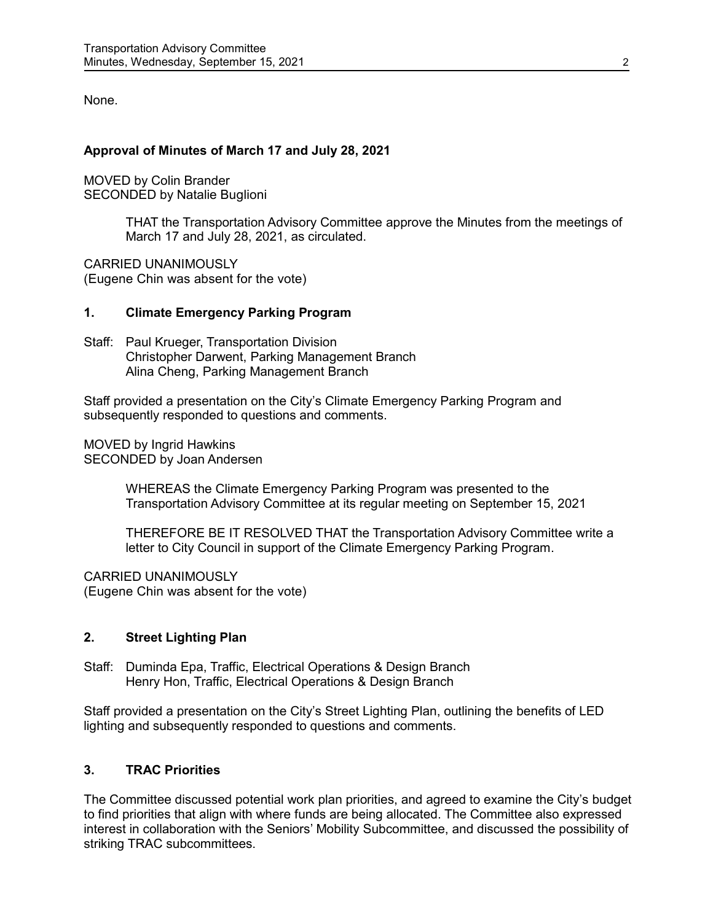None.

# **Approval of Minutes of March 17 and July 28, 2021**

MOVED by Colin Brander SECONDED by Natalie Buglioni

> THAT the Transportation Advisory Committee approve the Minutes from the meetings of March 17 and July 28, 2021, as circulated.

CARRIED UNANIMOUSLY (Eugene Chin was absent for the vote)

### **1. Climate Emergency Parking Program**

Staff: Paul Krueger, Transportation Division Christopher Darwent, Parking Management Branch Alina Cheng, Parking Management Branch

Staff provided a presentation on the City's Climate Emergency Parking Program and subsequently responded to questions and comments.

MOVED by Ingrid Hawkins SECONDED by Joan Andersen

> WHEREAS the Climate Emergency Parking Program was presented to the Transportation Advisory Committee at its regular meeting on September 15, 2021

THEREFORE BE IT RESOLVED THAT the Transportation Advisory Committee write a letter to City Council in support of the Climate Emergency Parking Program.

CARRIED UNANIMOUSLY (Eugene Chin was absent for the vote)

### **2. Street Lighting Plan**

Staff: Duminda Epa, Traffic, Electrical Operations & Design Branch Henry Hon, Traffic, Electrical Operations & Design Branch

Staff provided a presentation on the City's Street Lighting Plan, outlining the benefits of LED lighting and subsequently responded to questions and comments.

# **3. TRAC Priorities**

The Committee discussed potential work plan priorities, and agreed to examine the City's budget to find priorities that align with where funds are being allocated. The Committee also expressed interest in collaboration with the Seniors' Mobility Subcommittee, and discussed the possibility of striking TRAC subcommittees.